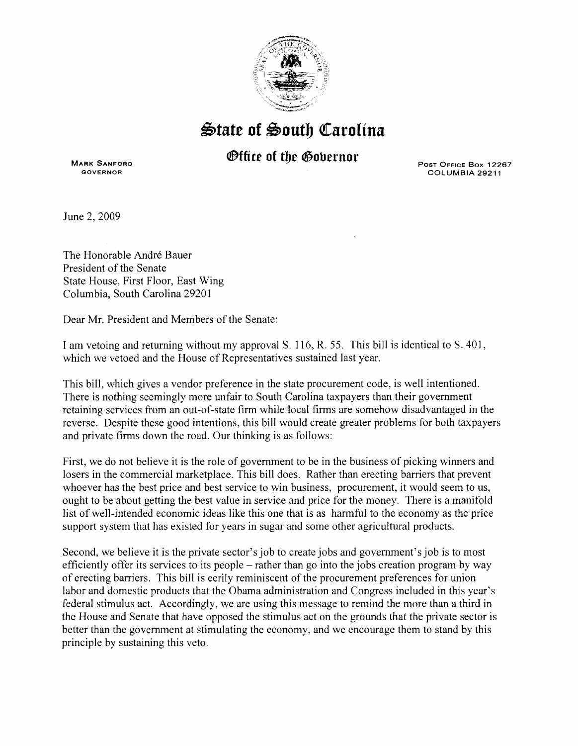

## $\triangle$ tate of South Carolina

## **®tfite of tbe ®obernor**

**MARK** SANFORD GOVERNOR

POST OFFICE Box 12267 COLUMBIA 29211

June 2, 2009

The Honorable André Bauer President of the Senate State House, First Floor, East Wing Columbia, South Carolina 29201

Dear Mr. President and Members of the Senate:

I am vetoing and returning without my approvalS. 116, R. 55. This bill is identical to S. 401, which we vetoed and the House of Representatives sustained last year.

This bill, which gives a vendor preference in the state procurement code, is well intentioned. There is nothing seemingly more unfair to South Carolina taxpayers than their government retaining services from an out-of-state firm while local firms are somehow disadvantaged in the reverse. Despite these good intentions, this bill would create greater problems for both taxpayers and private firms down the road. Our thinking is as follows:

First, we do not believe it is the role of government to be in the business of picking winners and losers in the commercial marketplace. This bill does. Rather than erecting barriers that prevent whoever has the best price and best service to win business, procurement, it would seem to us, ought to be about getting the best value in service and price for the money. There is a manifold list of well-intended economic ideas like this one that is as harmful to the economy as the price support system that has existed for years in sugar and some other agricultural products.

Second, we believe it is the private sector's job to create jobs and government's job is to most efficiently offer its services to its people – rather than go into the jobs creation program by way of erecting barriers. This bill is eerily reminiscent of the procurement preferences for union labor and domestic products that the Obama administration and Congress included in this year's federal stimulus act. Accordingly, we are using this message to remind the more than a third in the House and Senate that have opposed the stimulus act on the grounds that the private sector is better than the government at stimulating the economy, and we encourage them to stand by this principle by sustaining this veto.